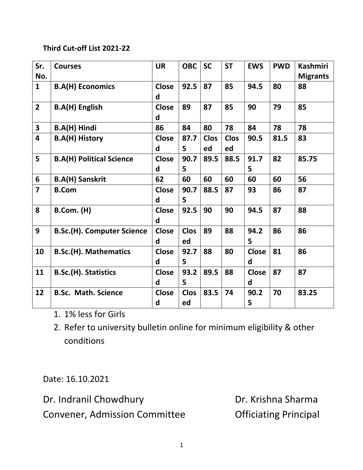## **Third Cut-off List 2021-22**

| Sr.                     | <b>Courses</b>                    | <b>UR</b>    | <b>OBC</b>  | <b>SC</b>   | <b>ST</b>   | <b>EWS</b>   | <b>PWD</b> | <b>Kashmiri</b> |
|-------------------------|-----------------------------------|--------------|-------------|-------------|-------------|--------------|------------|-----------------|
| No.                     |                                   |              |             |             |             |              |            | <b>Migrants</b> |
| $\mathbf{1}$            | <b>B.A(H) Economics</b>           | <b>Close</b> | 92.5        | 87          | 85          | 94.5         | 80         | 88              |
|                         |                                   | d            |             |             |             |              |            |                 |
| $\overline{2}$          | <b>B.A(H) English</b>             | <b>Close</b> | 89          | 87          | 85          | 90           | 79         | 85              |
|                         |                                   | d            |             |             |             |              |            |                 |
| $\overline{\mathbf{3}}$ | <b>B.A(H) Hindi</b>               | 86           | 84          | 80          | 78          | 84           | 78         | 78              |
| 4                       | <b>B.A(H) History</b>             | <b>Close</b> | 87.7        | <b>Clos</b> | <b>Clos</b> | 90.5         | 81.5       | 83              |
|                         |                                   | d            | 5           | ed          | ed          |              |            |                 |
| 5                       | <b>B.A(H) Political Science</b>   | <b>Close</b> | 90.7        | 89.5        | 88.5        | 91.7         | 82         | 85.75           |
|                         |                                   | d            | 5           |             |             | 5            |            |                 |
| $6\phantom{1}$          | <b>B.A(H) Sanskrit</b>            | 62           | 60          | 60          | 60          | 60           | 60         | 56              |
| $\overline{7}$          | <b>B.Com</b>                      | <b>Close</b> | 90.7        | 88.5        | 87          | 93           | 86         | 87              |
|                         |                                   | d            | 5           |             |             |              |            |                 |
| 8                       | <b>B.Com. (H)</b>                 | <b>Close</b> | 92.5        | 90          | 90          | 94.5         | 87         | 88              |
|                         |                                   | d            |             |             |             |              |            |                 |
| 9                       | <b>B.Sc.(H). Computer Science</b> | <b>Close</b> | <b>Clos</b> | 89          | 88          | 94.2         | 86         | 86              |
|                         |                                   | d            | ed          |             |             | 5            |            |                 |
| 10                      | <b>B.Sc.(H). Mathematics</b>      | <b>Close</b> | 92.7        | 88          | 80          | <b>Close</b> | 81         | 86              |
|                         |                                   | d            | 5           |             |             | d            |            |                 |
| 11                      | <b>B.Sc.(H). Statistics</b>       | <b>Close</b> | 93.2        | 89.5        | 88          | <b>Close</b> | 87         | 87              |
|                         |                                   | d            | 5           |             |             | d            |            |                 |
| 12                      | <b>B.Sc. Math. Science</b>        | <b>Close</b> | <b>Clos</b> | 83.5        | 74          | 90.2         | 70         | 83.25           |
|                         |                                   | d            | ed          |             |             | 5            |            |                 |

- 1. 1% less for Girls
- 2. Refer to university bulletin online for minimum eligibility & other conditions

Date: 16.10.2021

Dr. Indranil Chowdhury **Dr. Krishna Sharma** 

Convener, Admission Committee **Conventugal** Convener, Admission Committee